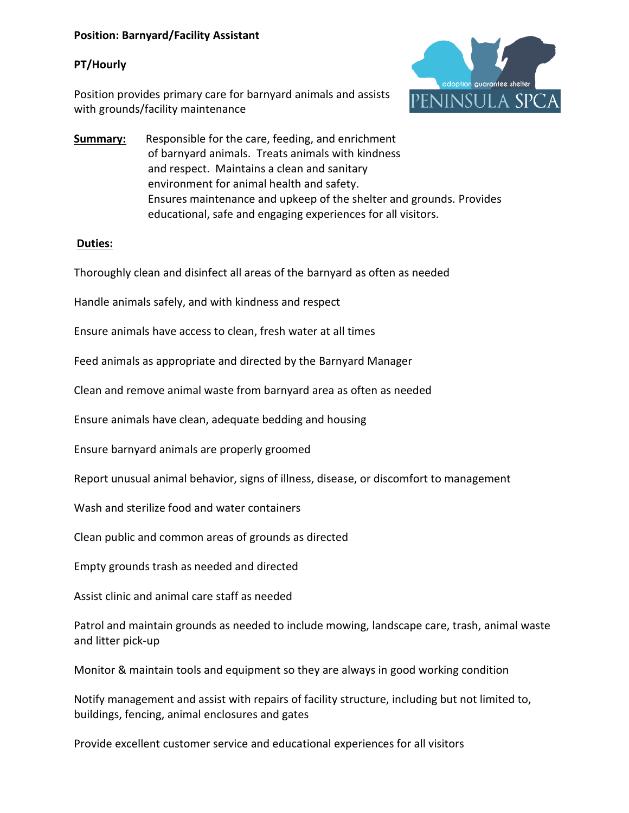### **Position: Barnyard/Facility Assistant**

### **PT/Hourly**

Position provides primary care for barnyard animals and assists with grounds/facility maintenance



**Summary:** Responsible for the care, feeding, and enrichment of barnyard animals. Treats animals with kindness and respect. Maintains a clean and sanitary environment for animal health and safety. Ensures maintenance and upkeep of the shelter and grounds. Provides educational, safe and engaging experiences for all visitors.

### **Duties:**

Thoroughly clean and disinfect all areas of the barnyard as often as needed

Handle animals safely, and with kindness and respect

Ensure animals have access to clean, fresh water at all times

Feed animals as appropriate and directed by the Barnyard Manager

Clean and remove animal waste from barnyard area as often as needed

Ensure animals have clean, adequate bedding and housing

Ensure barnyard animals are properly groomed

Report unusual animal behavior, signs of illness, disease, or discomfort to management

Wash and sterilize food and water containers

Clean public and common areas of grounds as directed

Empty grounds trash as needed and directed

Assist clinic and animal care staff as needed

Patrol and maintain grounds as needed to include mowing, landscape care, trash, animal waste and litter pick-up

Monitor & maintain tools and equipment so they are always in good working condition

Notify management and assist with repairs of facility structure, including but not limited to, buildings, fencing, animal enclosures and gates

Provide excellent customer service and educational experiences for all visitors